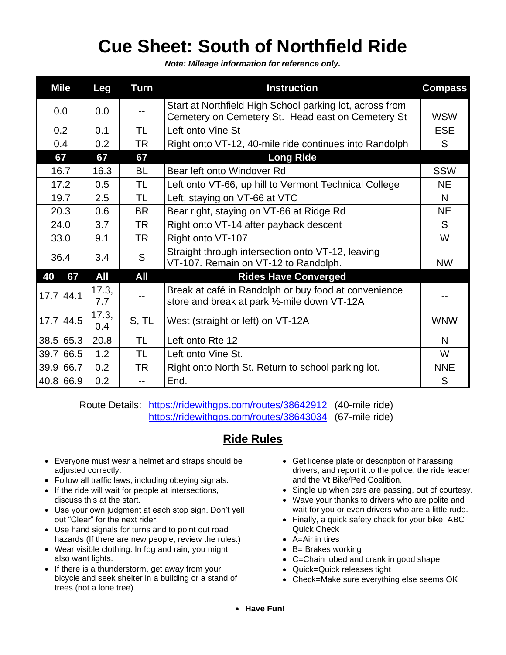## **Cue Sheet: South of Northfield Ride**

*Note: Mileage information for reference only.*

|             | <b>Mile</b> | Leg          | <b>Turn</b> | <b>Instruction</b>                                                                                            | <b>Compass</b> |
|-------------|-------------|--------------|-------------|---------------------------------------------------------------------------------------------------------------|----------------|
| 0.0         |             | 0.0          | --          | Start at Northfield High School parking lot, across from<br>Cemetery on Cemetery St. Head east on Cemetery St | <b>WSW</b>     |
| 0.2         |             | 0.1          | TL          | Left onto Vine St                                                                                             | <b>ESE</b>     |
| 0.4         |             | 0.2          | TR          | Right onto VT-12, 40-mile ride continues into Randolph                                                        | S              |
| 67          |             | 67           | 67          | <b>Long Ride</b>                                                                                              |                |
| 16.7        |             | 16.3         | BL          | Bear left onto Windover Rd                                                                                    | <b>SSW</b>     |
| 17.2        |             | 0.5          | TL          | Left onto VT-66, up hill to Vermont Technical College                                                         | <b>NE</b>      |
| 19.7        |             | 2.5          | TL          | Left, staying on VT-66 at VTC                                                                                 | N              |
| 20.3        |             | 0.6          | <b>BR</b>   | Bear right, staying on VT-66 at Ridge Rd                                                                      | <b>NE</b>      |
| 24.0        |             | 3.7          | <b>TR</b>   | Right onto VT-14 after payback descent                                                                        | S              |
| 33.0        |             | 9.1          | TR          | Right onto VT-107                                                                                             | W              |
| 36.4        |             | 3.4          | S           | Straight through intersection onto VT-12, leaving<br>VT-107. Remain on VT-12 to Randolph.                     | <b>NW</b>      |
| 40          | 67          | All          | All         | <b>Rides Have Converged</b>                                                                                   |                |
| $17.7$ 44.1 |             | 17.3,<br>7.7 |             | Break at café in Randolph or buy food at convenience<br>store and break at park 1/2-mile down VT-12A          |                |
|             | $17.7$ 44.5 | 17.3,<br>0.4 | S, TL       | West (straight or left) on VT-12A                                                                             | <b>WNW</b>     |
|             | 38.5 65.3   | 20.8         | TL          | Left onto Rte 12                                                                                              | N              |
|             | 39.7 66.5   | 1.2          | TL          | Left onto Vine St.                                                                                            | W              |
|             | 39.9 66.7   | 0.2          | TR          | Right onto North St. Return to school parking lot.                                                            | <b>NNE</b>     |
|             | 40.8 66.9   | 0.2          | --          | End.                                                                                                          | S              |

Route Details: <https://ridewithgps.com/routes/38642912> (40-mile ride) <https://ridewithgps.com/routes/38643034> (67-mile ride)

## **Ride Rules**

- Everyone must wear a helmet and straps should be adjusted correctly.
- Follow all traffic laws, including obeying signals.
- If the ride will wait for people at intersections, discuss this at the start.
- Use your own judgment at each stop sign. Don't yell out "Clear" for the next rider.
- Use hand signals for turns and to point out road hazards (If there are new people, review the rules.)
- Wear visible clothing. In fog and rain, you might also want lights.
- If there is a thunderstorm, get away from your bicycle and seek shelter in a building or a stand of trees (not a lone tree).
- Get license plate or description of harassing drivers, and report it to the police, the ride leader and the Vt Bike/Ped Coalition.
- Single up when cars are passing, out of courtesy.
- Wave your thanks to drivers who are polite and wait for you or even drivers who are a little rude.
- Finally, a quick safety check for your bike: ABC Quick Check
- A=Air in tires
- B= Brakes working
- C=Chain lubed and crank in good shape
- Quick=Quick releases tight
- Check=Make sure everything else seems OK